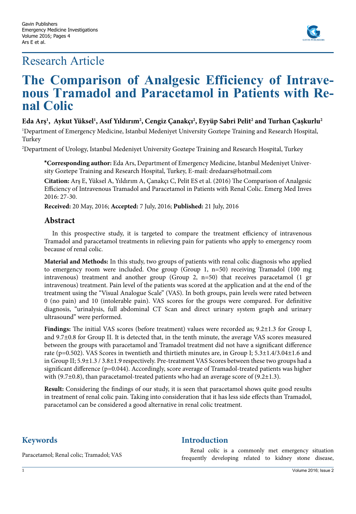## Research Article



# **The Comparison of Analgesic Efficiency of Intrave- nous Tramadol and Paracetamol in Patients with Re- nal Colic**

#### **Eda Arş1 , Aykut Yüksel1 , Asıf Yıldırım2 , Cengiz Çanakçı2 , Eyyüp Sabri Pelit2 and Turhan Çaşkurlu2**

1 Department of Emergency Medicine, Istanbul Medeniyet University Goztepe Training and Research Hospital, Turkey

 $^{\rm 2}$ Department of Urology, Istanbul Medeniyet University Goztepe Training and Research Hospital, Turkey

**\*Corresponding author:** Eda Ars, Department of Emergency Medicine, Istanbul Medeniyet University Goztepe Training and Research Hospital, Turkey, E-mail: dredaars@hotmail.com

**Citation:** Arş E, Yüksel A, Yıldırım A, Çanakçı C, Pelit ES et al. (2016) The Comparison of Analgesic Efficiency of Intravenous Tramadol and Paracetamol in Patients with Renal Colic. Emerg Med Inves 2016: 27-30.

**Received:** 20 May, 2016; **Accepted:** 7 July, 2016; **Published:** 21 July, 2016

#### **Abstract**

In this prospective study, it is targeted to compare the treatment efficiency of intravenous Tramadol and paracetamol treatments in relieving pain for patients who apply to emergency room because of renal colic.

**Material and Methods:** In this study, two groups of patients with renal colic diagnosis who applied to emergency room were included. One group (Group 1, n=50) receiving Tramadol (100 mg intravenous) treatment and another group (Group 2, n=50) that receives paracetamol (1 gr intravenous) treatment. Pain level of the patients was scored at the application and at the end of the treatment using the "Visual Analogue Scale" (VAS). In both groups, pain levels were rated between 0 (no pain) and 10 (intolerable pain). VAS scores for the groups were compared. For definitive diagnosis, "urinalysis, full abdominal CT Scan and direct urinary system graph and urinary ultrasound" were performed.

**Findings:** The initial VAS scores (before treatment) values were recorded as; 9.2±1.3 for Group I, and 9.7±0.8 for Group II. It is detected that, in the tenth minute, the average VAS scores measured between the groups with paracetamol and Tramadol treatment did not have a significant difference rate (p=0.502). VAS Scores in twentieth and thirtieth minutes are, in Group I; 5.3±1.4/3.04±1.6 and in Group II; 5.9±1.3 / 3.8±1.9 respectively. Pre-treatment VAS Scores between these two groups had a significant difference (p=0.044). Accordingly, score average of Tramadol-treated patients was higher with (9.7 $\pm$ 0.8), than paracetamol-treated patients who had an average score of (9.2 $\pm$ 1.3).

**Result:** Considering the findings of our study, it is seen that paracetamol shows quite good results in treatment of renal colic pain. Taking into consideration that it has less side effects than Tramadol, paracetamol can be considered a good alternative in renal colic treatment.

### **Keywords**

#### **Introduction**

Paracetamol; Renal colic; Tramadol; VAS

Renal colic is a commonly met emergency situation frequently developing related to kidney stone disease,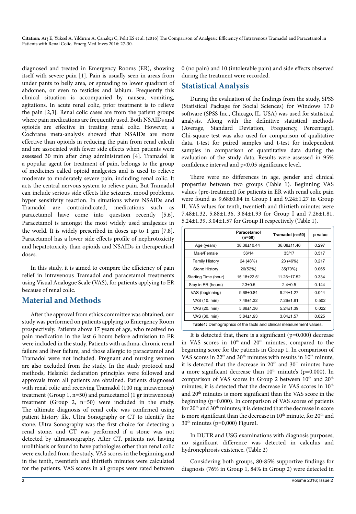**Citation:** Arş E, Yüksel A, Yıldırım A, Çanakçı C, Pelit ES et al. (2016) The Comparison of Analgesic Efficiency of Intravenous Tramadol and Paracetamol in Patients with Renal Colic. Emerg Med Inves 2016: 27-30.

diagnosed and treated in Emergency Rooms (ER), showing itself with severe pain [1]. Pain is usually seen in areas from under pants to belly area, or spreading to lower quadrant of abdomen, or even to testicles and labium. Frequently this clinical situation is accompanied by nausea, vomiting, agitations. In acute renal colic, prior treatment is to relieve the pain [2,3]. Renal colic cases are from the patient groups where pain medications are frequently used. Both NSAIDs and opioids are effective in treating renal colic. However, a Cochrane meta-analysis showed that NSAIDs are more effective than opioids in reducing the pain from renal calculi and are associated with fewer side effects when patients were assessed 30 min after drug administration [4]. Tramadol is a popular agent for treatment of pain, belongs to the group of medicines called opioid analgesics and is used to relieve moderate to moderately severe pain, including renal colic. It acts the central nervous system to relieve pain. But Tramadol can include serious side effects like seizures, mood problems, hyper sensitivity reaction. In situations where NSAIDs and Tramadol are contraindicated, medications such as paracetamol have come into question recently [5,6]. Paracetamol is amongst the most widely used analgesics in the world. It is widely prescribed in doses up to 1 gm [7,8]. Paracetamol has a lower side effects profile of nephrotoxicity and hepatotoxicity than opioids and NSAIDs in therapeutical doses.

In this study, it is aimed to compare the efficiency of pain relief in intravenous Tramadol and paracetamol treatments using Visual Analogue Scale (VAS), for patients applying to ER because of renal colic.

#### **Material and Methods**

After the approval from ethics committee was obtained, our study was performed on patients applying to Emergency Room prospectively. Patients above 17 years of age, who received no pain medication in the last 6 hours before admission to ER were included in the study. Patients with asthma, chronic renal failure and liver failure, and those allergic to paracetamol and Tramadol were not included. Pregnant and nursing women are also excluded from the study. In the study protocol and methods, Helsinki declaration principles were followed and approvals from all patients are obtained. Patients diagnosed with renal colic and receiving Tramadol (100 mg intravenous) treatment (Group 1, n=50) and paracetamol (1 gr intravenous) treatment (Group 2, n=50) were included in the study. The ultimate diagnosis of renal colic was confirmed using patient history file, Ultra Sonography or CT to identify the stone. Ultra Sonography was the first choice for detecting a renal stone, and CT was performed if a stone was not detected by ultrasonography. After CT, patients not having urolithiasis or found to have pathologies other than renal colic were excluded from the study. VAS scores in the beginning and in the tenth, twentieth and thirtieth minutes were calculated for the patients. VAS scores in all groups were rated between

0 (no pain) and 10 (intolerable pain) and side effects observed during the treatment were recorded.

#### **Statistical Analysis**

During the evaluation of the findings from the study, SPSS (Statistical Package for Social Sciences) for Windows 17.0 software (SPSS Inc., Chicago, IL, USA) was used for statistical analysis. Along with the definitive statistical methods (Average, Standard Deviation, Frequency, Percentage), Chi-square test was also used for comparison of qualitative data, t-test for paired samples and t-test for independent samples in comparison of quantitative data during the evaluation of the study data. Results were assessed in 95% confidence interval and p<0.05 significance level.

There were no differences in age, gender and clinical properties between two groups (Table 1). Beginning VAS values (pre-treatment) for patients in ER with renal colic pain were found as 9.68±0.84 in Group I and 9.24±1.27 in Group II. VAS values for tenth, twentieth and thirtieth minutes were 7.48±1.32, 5.88±1.36, 3.84±1.93 for Group I and 7.26±1.81, 5.24±1.39, 3.04±1.57 for Group II respectively (Table 1).

|                                                                           | Paracetamol<br>$(n=50)$ | Tramadol (n=50)   | p value |  |
|---------------------------------------------------------------------------|-------------------------|-------------------|---------|--|
| Age (years)                                                               | 38.38±10.44             | 36.08±11.46       | 0.297   |  |
| Male/Female                                                               | 36/14                   | 33/17             | 0.517   |  |
| <b>Family History</b>                                                     | 24 (48%)                | 23 (46%)          | 0.217   |  |
| Stone History                                                             | 26(52%)                 | 35(70%)           | 0.065   |  |
| Starting Time (hour)                                                      | 15.18±22.51             | $11.26 \pm 17.52$ | 0.334   |  |
| Stay in ER (hours)                                                        | $2.3 \pm 0.5$           | $2.4 \pm 0.5$     | 0.144   |  |
| VAS (beginning)                                                           | $9.68 + 0.84$           | $9.24 + 1.27$     | 0.044   |  |
| VAS (10. min)                                                             | $7.48 + 1.32$           | $7.26 + 1.81$     | 0.502   |  |
| VAS (20. min)                                                             | $5.88 + 1.36$           | $5.24 \pm 1.39$   | 0.022   |  |
| VAS (30. min)                                                             | $3.84 + 1.93$           | $3.04 \pm 1.57$   | 0.025   |  |
| <b>Table1:</b> Demographics of the facts and clinical measurement values. |                         |                   |         |  |

It is detected that, there is a significant  $(p=0.000)$  decrease in VAS scores in 10<sup>th</sup> and 20<sup>th</sup> minutes, compared to the beginning score for the patients in Group 1. In comparison of VAS scores in 22<sup>th</sup> and 30<sup>th</sup> minutes with results in 10<sup>th</sup> minute, it is detected that the decrease in 20<sup>th</sup> and 30<sup>th</sup> minutes have a more significant decrease than  $10<sup>th</sup>$  minute's (p=0.000). In comparison of VAS scores in Group 2 between 10<sup>th</sup> and 20<sup>th</sup> minutes; it is detected that the decrease in VAS scores in 10<sup>th</sup> and 20th minutes is more significant than the VAS score in the beginning (p=0.000). In comparison of VAS scores of patients for 20<sup>th</sup> and 30<sup>th</sup> minutes; it is detected that the decrease in score is more significant than the decrease in  $10^{th}$  minute, for  $20^{th}$  and  $30<sup>th</sup>$  minutes (p=0,000) Figure1.

In DUTR and USG examinations with diagnosis purposes, no significant difference was detected in calculus and hydronephrosis existence. (Table 2)

Considering both groups, 80-85% supportive findings for diagnosis (76% in Group 1, 84% in Group 2) were detected in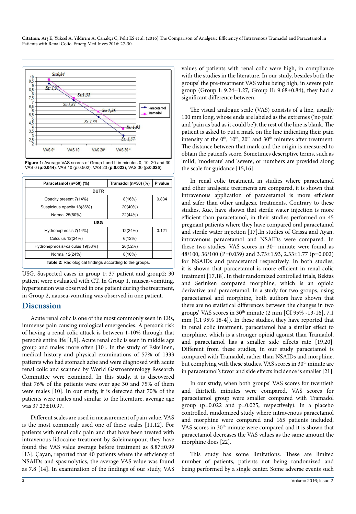**Citation:** Arş E, Yüksel A, Yıldırım A, Çanakçı C, Pelit ES et al. (2016) The Comparison of Analgesic Efficiency of Intravenous Tramadol and Paracetamol in Patients with Renal Colic. Emerg Med Inves 2016: 27-30.



**Figure 1:** Average VAS scores of Group I and II in minutes 0, 10, 20 and 30. VAS 0 (**p:0.044**), VAS 10 (p:0.502), VAS 20 (**p:0.022**), VAS 30 (**p:0.025**).

| Paracetamol (n=50) (%)                                         | Tramadol (n=50) (%) | P value |  |
|----------------------------------------------------------------|---------------------|---------|--|
| <b>DUTR</b>                                                    |                     |         |  |
| Opacity present 7(14%)                                         | 8(16%)              | 0.834   |  |
| Suspicious opacity 18(36%)                                     | 20(40%)             |         |  |
| Normal 25(50%)                                                 | 22(44%)             |         |  |
| <b>USG</b>                                                     |                     |         |  |
| Hydronephrosis 7(14%)                                          | 12(24%)             | 0.121   |  |
| Calculus 12(24%)                                               | 6(12%)              |         |  |
| Hydronephrosis+calculus 19(38%)                                | 26(52%)             |         |  |
| Normal 12(24%)                                                 | 8(16%)              |         |  |
| <b>Table 2:</b> Radiological findings according to the groups. |                     |         |  |

USG. Suspected cases in group 1; 37 patient and group2; 30 patient were evaluated with CT. In Group 1, nausea-vomiting, hypertension was observed in one patient during the treatment, in Group 2, nausea-vomiting was observed in one patient.

#### **Discussion**

Acute renal colic is one of the most commonly seen in ERs, immense pain causing urological emergencies. A person's risk of having a renal colic attack is between 1-10% through that person's entire life [1,9]. Acute renal colic is seen in middle age group and males more often [10]. In the study of Eskelinen, medical history and physical examinations of 57% of 1333 patients who had stomach ache and were diagnosed with acute renal colic and scanned by World Gastroenterology Research Committee were examined. In this study, it is discovered that 76% of the patients were over age 30 and 75% of them were males [10]. In our study, it is detected that 70% of the patients were males and similar to the literature, average age was 37.23±10.97.

Different scales are used in measurement of pain value. VAS is the most commonly used one of these scales [11,12]. For patients with renal colic pain and that have been treated with intravenous lidocaine treatment by Soleimanpour, they have found the VAS value average before treatment as 8.87±0.99 [13]. Çayan, reported that 40 patients where the efficiency of NSAIDs and spasmolytics, the average VAS value was found as 7.8 [14]. In examination of the findings of our study, VAS

values of patients with renal colic were high, in compliance with the studies in the literature. In our study, besides both the groups' the pre-treatment VAS value being high, in severe pain group (Group I: 9.24±1.27, Group II: 9.68±0.84), they had a significant difference between.

The visual analogue scale (VAS) consists of a line, usually 100 mm long, whose ends are labeled as the extremes ('no pain' and 'pain as bad as it could be'); the rest of the line is blank. The patient is asked to put a mark on the line indicating their pain intensity at the  $0<sup>th</sup>$ ,  $10<sup>th</sup>$ ,  $20<sup>th</sup>$  and  $30<sup>th</sup>$  minutes after treatment. The distance between that mark and the origin is measured to obtain the patient's score. Sometimes descriptive terms, such as 'mild', 'moderate' and 'severe', or numbers are provided along the scale for guidance [15,16].

In renal colic treatment, in studies where paracetamol and other analgesic treatments are compared, it is shown that intravenous application of paracetamol is more efficient and safer than other analgesic treatments. Contrary to these studies, Xue, have shown that sterile water injection is more efficient than paracetamol, in their studies performed on 45 pregnant patients where they have compared oral paracetamol and sterile water injection [17].In studies of Grissa and Ayan, intravenous paracetamol and NSAIDs were compared. In these two studies, VAS scores in  $30<sup>th</sup>$  minute were found as 48/100, 36/100 (P=0.039) and 3.73±1.93, 2.33±1.77 (p=0.002) for NSAIDs and paracetamol respectively. In both studies, it is shown that paracetamol is more efficient in renal colic treatment [17,18]. In their randomized controlled trials, Bektas and Serinken compared morphine, which is an opioid derivative and paracetamol. In a study for two groups, using paracetamol and morphine, both authors have shown that there are no statistical differences between the changes in two groups' VAS scores in  $30<sup>th</sup>$  minute (2 mm [CI 95% -13-16], 7.1 mm [CI 95% 18-4]). In these studies, they have reported that in renal colic treatment, paracetamol has a similar effect to morphine, which is a stronger opioid agonist than Tramadol, and paracetamol has a smaller side effects rate [19,20]. Different from these studies, in our study paracetamol is compared with Tramadol, rather than NSAIDs and morphine, but complying with these studies, VAS scores in 30<sup>th</sup> minute are in paracetamol's favor and side effects incidence is smaller [21].

In our study, when both groups' VAS scores for twentieth and thirtieth minutes were compared, VAS scores for paracetamol group were smaller compared with Tramadol group  $(p=0.022$  and  $p=0.025$ , respectively). In a placebo controlled, randomized study where intravenous paracetamol and morphine were compared and 165 patients included, VAS scores in 30th minute were compared and it is shown that paracetamol decreases the VAS values as the same amount the morphine does [22].

This study has some limitations. These are limited number of patients, patients not being randomized and being performed by a single center. Some adverse events such